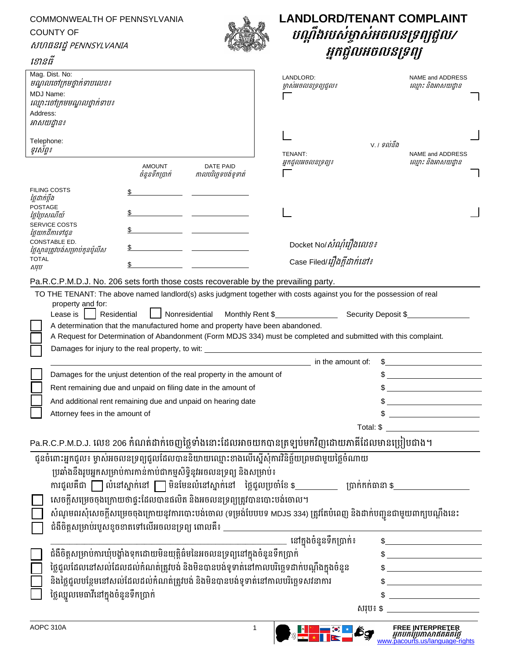| COMMONWEALTH OF PENNSYLVANIA<br><b>COUNTY OF</b><br>សហធនរដ្ឋ PENNSYLVANIA<br>ខោនធី                |                                                   | <b>LANDLORD/TENANT COMPLAINT</b><br>បណ្តឹងរបស់ម្ចាស់អចលនទ្រព្យថ្ងល/<br>អ្នកជួលអចលនទ្រព្យ                                                                                                                                                                                                              |                                              |                                                 |                                                                                                 |  |
|---------------------------------------------------------------------------------------------------|---------------------------------------------------|-------------------------------------------------------------------------------------------------------------------------------------------------------------------------------------------------------------------------------------------------------------------------------------------------------|----------------------------------------------|-------------------------------------------------|-------------------------------------------------------------------------------------------------|--|
| Mag. Dist. No:<br>មណ្ឌលចៅក្រមថ្នាក់ទាបលេខ៖<br>MDJ Name:<br>ឈ្មោះចៅក្រមមណ្ឌលថ្នាក់ទាប៖<br>Address: |                                                   |                                                                                                                                                                                                                                                                                                       | LANDLORD:<br>ម្ចាស់អចលនទ្រព្យជួល៖            |                                                 | NAME and ADDRESS<br>ឈ្មោះ និងអាសយដ្ឋាន                                                          |  |
| អាសយដ្ឋាន៖<br>Telephone:<br>ទូវស័ព្ទ៖                                                             |                                                   |                                                                                                                                                                                                                                                                                                       | V. / ទល់នឹង<br>TENANT:<br>អ្នកជួលអចលនទ្រព្យ៖ |                                                 | NAME and ADDRESS<br>ឈ្មោះ និងអាសយដ្ឋាន                                                          |  |
|                                                                                                   | <b>AMOUNT</b><br>ចំនួនទឹកប្រាក់                   | <b>DATE PAID</b><br>កាលបរិច្ឆេទបង់ទូទាត់                                                                                                                                                                                                                                                              |                                              |                                                 |                                                                                                 |  |
| <b>FILING COSTS</b><br>ថ្លៃដាក់ប្តឹង                                                              |                                                   |                                                                                                                                                                                                                                                                                                       |                                              |                                                 |                                                                                                 |  |
| <b>POSTAGE</b><br>ថ្លៃព្រៃសណីយ៍                                                                   |                                                   |                                                                                                                                                                                                                                                                                                       |                                              |                                                 |                                                                                                 |  |
| SERVICE COSTS<br>ថ្លៃយកដីកាទៅជូន<br>CONSTABLE ED.                                                 |                                                   |                                                                                                                                                                                                                                                                                                       |                                              |                                                 |                                                                                                 |  |
| ថ្លៃស្ថានត្រូវបង់សម្រាប់កូនប៉ូលីស                                                                 |                                                   |                                                                                                                                                                                                                                                                                                       | Docket No/ <i>សំណុំរឿងលេខ៖</i>               |                                                 |                                                                                                 |  |
| <b>TOTAL</b><br>សរុប                                                                              |                                                   |                                                                                                                                                                                                                                                                                                       | Case Filed/ <i>រឿងត្តីដាក់នៅ៖</i>            |                                                 |                                                                                                 |  |
| Pa.R.C.P.M.D.J. No. 206 sets forth those costs recoverable by the prevailing party.               |                                                   |                                                                                                                                                                                                                                                                                                       |                                              |                                                 |                                                                                                 |  |
| property and for:<br>Lease is                                                                     | Residential                                       | Nonresidential<br>A determination that the manufactured home and property have been abandoned.<br>A Request for Determination of Abandonment (Form MDJS 334) must be completed and submitted with this complaint.<br>Damages for injury to the real property, to wit: _______________________________ | Monthly Rent \$                              | Security Deposit \$                             |                                                                                                 |  |
|                                                                                                   |                                                   |                                                                                                                                                                                                                                                                                                       | in the amount of:                            |                                                 |                                                                                                 |  |
| Damages for the unjust detention of the real property in the amount of                            |                                                   |                                                                                                                                                                                                                                                                                                       |                                              | \$                                              |                                                                                                 |  |
| Rent remaining due and unpaid on filing date in the amount of                                     |                                                   |                                                                                                                                                                                                                                                                                                       |                                              | <u> 1989 - Johann Barnett, fransk politik (</u> |                                                                                                 |  |
| And additional rent remaining due and unpaid on hearing date                                      |                                                   |                                                                                                                                                                                                                                                                                                       |                                              |                                                 |                                                                                                 |  |
|                                                                                                   | Attorney fees in the amount of                    |                                                                                                                                                                                                                                                                                                       |                                              |                                                 |                                                                                                 |  |
|                                                                                                   |                                                   |                                                                                                                                                                                                                                                                                                       |                                              |                                                 |                                                                                                 |  |
| Pa.R.C.P.M.D.J. លេខ 206 កំណត់ដាក់ចេញថ្លៃទាំងនោះដែលអាចយកបានត្រឡប់មកវិញដោយភាគីដែលមានប្រៀបជាង។       |                                                   |                                                                                                                                                                                                                                                                                                       |                                              |                                                 |                                                                                                 |  |
|                                                                                                   |                                                   | ជូនចំពោះអ្នកជួល៖ ម្ចាស់អចលនទ្រព្យជួលដែលបាននិយាយឈ្មោះខាងលើស្នើសុំការវិនិច្ឆ័យព្រមជាមួយថ្លៃចំណាយ<br>ប្រឆាំងនឹងរូបអ្នកសម្រាប់ការកាន់កាប់ជាកម្មសិទ្ធិនូវអចលនទ្រព្យ និងសម្រាប់៖                                                                                                                            |                                              |                                                 |                                                                                                 |  |
|                                                                                                   |                                                   | ការជួលគឺជា $\fbox{ }\fbox{ }\fbox{ }$ លំនៅស្នាក់នៅ $\fbox{ }\fbox{ }\fbox{ }\fbox{ }$ មិនមែនលំនៅស្នាក់នៅ ថ្លៃជួលប្រចាំខែ \$__________ ប្រាក់កក់ធានា \$__________                                                                                                                                      |                                              |                                                 |                                                                                                 |  |
|                                                                                                   | ជំងឺចិត្តសម្រាប់របួសខូចខាតទៅលើអចលនទ្រព្យ ពោលគឺ៖ _ | សេចក្តីសម្រេចចុងក្រោយថាផ្ទះដែលបានផលិត និងអចលនទ្រព្យត្រូវបានបោះបង់ចោល។<br>សំណូមពរសុំសេចក្តីសម្រេចចុងក្រោយនូវការបោះបង់ចោល (ទម្រង់បែបបទ MDJS 334) ត្រូវតែបំពេញ និងដាក់បញ្ជូនជាមួយពាក្យបណ្តឹងនេះ                                                                                                          |                                              |                                                 |                                                                                                 |  |
|                                                                                                   |                                                   |                                                                                                                                                                                                                                                                                                       | ________ នៅក្នុងចំនួនទឹកប្រាក់៖              |                                                 | $\frac{1}{2}$                                                                                   |  |
| ជំងឺចិត្តសម្រាប់ការឃុំបង្ខាំងទុកដោយមិនយុត្តិធ៌មនៃអចលនទ្រព្យនៅក្នុងចំនួនទឹកប្រាក់                  |                                                   |                                                                                                                                                                                                                                                                                                       |                                              |                                                 |                                                                                                 |  |
| ថ្លៃជួលដែលនៅសល់ដែលដល់កំណត់ត្រូវបង់ និងមិនបានបង់ទូទាត់នៅកាលបរិច្ឆេទដាក់បណ្តឹងក្នុងចំនួន            |                                                   |                                                                                                                                                                                                                                                                                                       |                                              |                                                 | $\frac{1}{2}$                                                                                   |  |
| និងថ្លៃជួលបន្ថែមនៅសល់ដែលដល់កំណត់ត្រូវបង់ និងមិនបានបង់ទូទាត់នៅកាលបរិច្ឆេទសវនាការ                   |                                                   |                                                                                                                                                                                                                                                                                                       |                                              |                                                 | $\frac{1}{2}$                                                                                   |  |
| ថ្លៃឈ្នួលមេធាវីនៅក្នុងចំនួនទឹកប្រាក់                                                              |                                                   |                                                                                                                                                                                                                                                                                                       |                                              |                                                 | $$$ $$$                                                                                         |  |
|                                                                                                   |                                                   |                                                                                                                                                                                                                                                                                                       |                                              |                                                 | សរុប៖ \$ _________________________                                                              |  |
| AOPC 310A                                                                                         |                                                   | 1                                                                                                                                                                                                                                                                                                     |                                              |                                                 | <b>FREE INTERPRETER</b><br>អ្នកបករប្រកាសាតិគតិតាំថ្លា<br><u>www.pacourts.us/language-rights</u> |  |